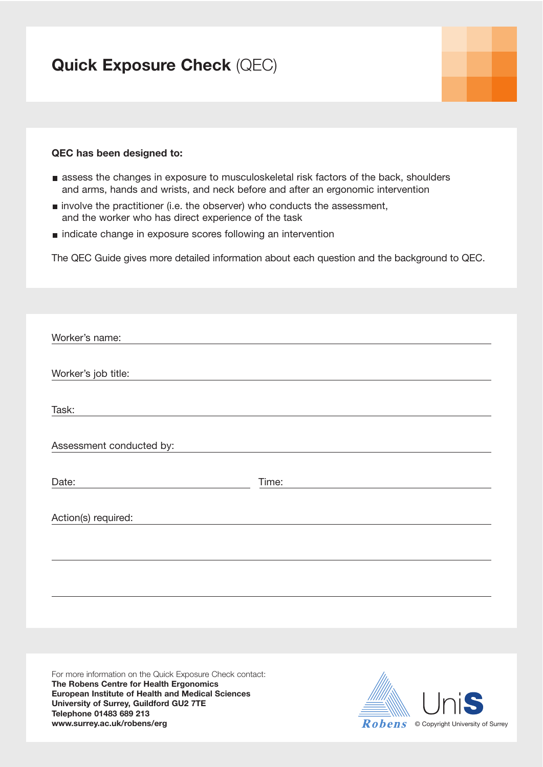# **Quick Exposure Check** (QEC)

### **QEC has been designed to:**

- assess the changes in exposure to musculoskeletal risk factors of the back, shoulders and arms, hands and wrists, and neck before and after an ergonomic intervention
- $\blacksquare$  involve the practitioner (i.e. the observer) who conducts the assessment, and the worker who has direct experience of the task
- **indicate change in exposure scores following an intervention**

The QEC Guide gives more detailed information about each question and the background to QEC.

| Worker's name:           |       |
|--------------------------|-------|
| Worker's job title:      |       |
| Task:                    |       |
| Assessment conducted by: |       |
| Date:                    | Time: |
| Action(s) required:      |       |
|                          |       |
|                          |       |

For more information on the Quick Exposure Check contact: **The Robens Centre for Health Ergonomics European Institute of Health and Medical Sciences University of Surrey, Guildford GU2 7TE Telephone 01483 689 213 www.surrey.ac.uk/robens/erg Copyright University of Surrey Robers Copyright University of Surrey** 

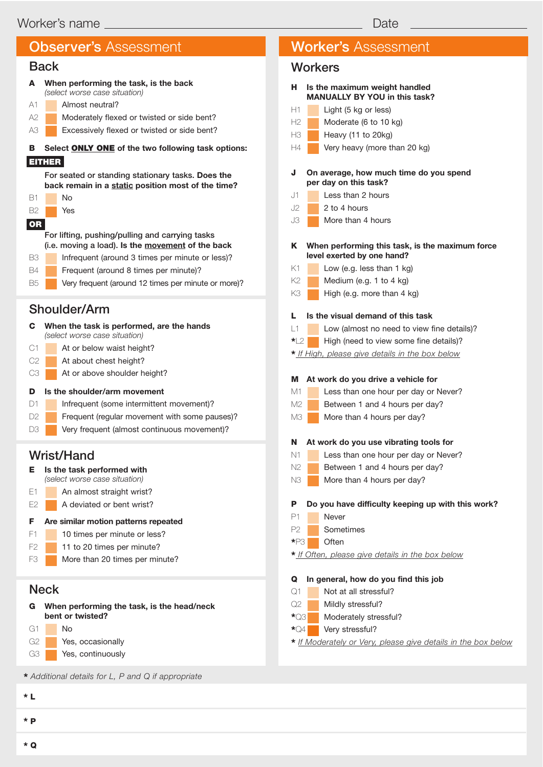## Back

|                | ייש                                                                                                     |  |  |  |  |  |  |
|----------------|---------------------------------------------------------------------------------------------------------|--|--|--|--|--|--|
| A              | When performing the task, is the back<br>(select worse case situation)                                  |  |  |  |  |  |  |
| A1             | Almost neutral?                                                                                         |  |  |  |  |  |  |
| A2             | Moderately flexed or twisted or side bent?                                                              |  |  |  |  |  |  |
| A3             | Excessively flexed or twisted or side bent?                                                             |  |  |  |  |  |  |
| в              | Select ONLY ONE of the two following task options:                                                      |  |  |  |  |  |  |
|                | <b>EITHER</b>                                                                                           |  |  |  |  |  |  |
|                | For seated or standing stationary tasks. Does the<br>back remain in a static position most of the time? |  |  |  |  |  |  |
| <b>B1</b>      | No                                                                                                      |  |  |  |  |  |  |
| <b>B2</b>      | Yes                                                                                                     |  |  |  |  |  |  |
| OR             |                                                                                                         |  |  |  |  |  |  |
|                | For lifting, pushing/pulling and carrying tasks<br>(i.e. moving a load). Is the movement of the back    |  |  |  |  |  |  |
| B3             | Infrequent (around 3 times per minute or less)?                                                         |  |  |  |  |  |  |
| <b>B4</b>      | Frequent (around 8 times per minute)?                                                                   |  |  |  |  |  |  |
| <b>B5</b>      | Very frequent (around 12 times per minute or more)?                                                     |  |  |  |  |  |  |
| Shoulder/Arm   |                                                                                                         |  |  |  |  |  |  |
|                |                                                                                                         |  |  |  |  |  |  |
| C.             | When the task is performed, are the hands<br>(select worse case situation)                              |  |  |  |  |  |  |
| C1             | At or below waist height?                                                                               |  |  |  |  |  |  |
| C <sub>2</sub> | At about chest height?                                                                                  |  |  |  |  |  |  |
| CЗ             | At or above shoulder height?                                                                            |  |  |  |  |  |  |

#### **D Is the shoulder/arm movement**

- D1 Infrequent (some intermittent movement)?
- D2 **Frequent (regular movement with some pauses)?**
- D3 **Very frequent (almost continuous movement)?**

# Wrist/Hand

| Е.          | Is the task performed with<br>(select worse case situation)    |  |  |  |
|-------------|----------------------------------------------------------------|--|--|--|
| F1          | An almost straight wrist?                                      |  |  |  |
| F2          | A deviated or bent wrist?                                      |  |  |  |
| F           | Are similar motion patterns repeated                           |  |  |  |
| F1          | 10 times per minute or less?                                   |  |  |  |
| F2          | 11 to 20 times per minute?                                     |  |  |  |
| FЗ          | More than 20 times per minute?                                 |  |  |  |
|             |                                                                |  |  |  |
| <b>Neck</b> |                                                                |  |  |  |
| G           | When performing the task, is the head/neck<br>bent or twisted? |  |  |  |
| (41         | N۵                                                             |  |  |  |

| bent or twisted? |    |                   |  |  |
|------------------|----|-------------------|--|--|
| G1               | Nο |                   |  |  |
| G2               |    | Yes, occasionally |  |  |
| G3               |    | Yes, continuously |  |  |
|                  |    |                   |  |  |

**\*** *Additional details for L, P and Q if appropriate*

**\* P**

# Observer's Assessment Worker's Assessment

# **Workers**

| н                   | Is the maximum weight handled<br><b>MANUALLY BY YOU in this task?</b>         |
|---------------------|-------------------------------------------------------------------------------|
| Н1                  | Light (5 kg or less)                                                          |
| Н2.                 | Moderate (6 to 10 kg)                                                         |
| HЗ                  | Heavy (11 to 20kg)                                                            |
| H4                  | Very heavy (more than 20 kg)                                                  |
| J                   | On average, how much time do you spend                                        |
|                     | per day on this task?                                                         |
| J1.                 | Less than 2 hours                                                             |
| J2                  | 2 to 4 hours                                                                  |
| JЗ                  | More than 4 hours                                                             |
| κ                   | When performing this task, is the maximum force<br>level exerted by one hand? |
| Κ1                  | Low (e.g. less than $1$ kg)                                                   |
| K2                  | Medium (e.g. 1 to 4 kg)                                                       |
| K3                  | High (e.g. more than 4 kg)                                                    |
| L.                  | Is the visual demand of this task                                             |
| $\vert$ 1           | Low (almost no need to view fine details)?                                    |
| *∣ 2                | High (need to view some fine details)?                                        |
|                     | * If High, please give details in the box below                               |
| м                   | At work do you drive a vehicle for                                            |
| М1                  | Less than one hour per day or Never?                                          |
| M2                  | Between 1 and 4 hours per day?                                                |
| MЗ                  | More than 4 hours per day?                                                    |
| N                   | At work do you use vibrating tools for                                        |
| N1                  | Less than one hour per day or Never?                                          |
| N2                  | Between 1 and 4 hours per day?                                                |
| NЗ                  | More than 4 hours per day?                                                    |
| Р                   | Do you have difficulty keeping up with this work?                             |
| P1                  | Never                                                                         |
| P <sub>2</sub>      | Sometimes                                                                     |
| $\star_{\text{P3}}$ | Often                                                                         |
|                     | * If Often, please give details in the box below                              |
| Q                   | In general, how do you find this job                                          |
| Q1                  | Not at all stressful?                                                         |
| Q2                  | Mildly stressful?                                                             |
| $\star$ Q3          | Moderately stressful?                                                         |
| $\star_{\text{Q4}}$ | Very stressful?                                                               |
|                     | * If Moderately or Very, please give details in the box below                 |

**\* Q**